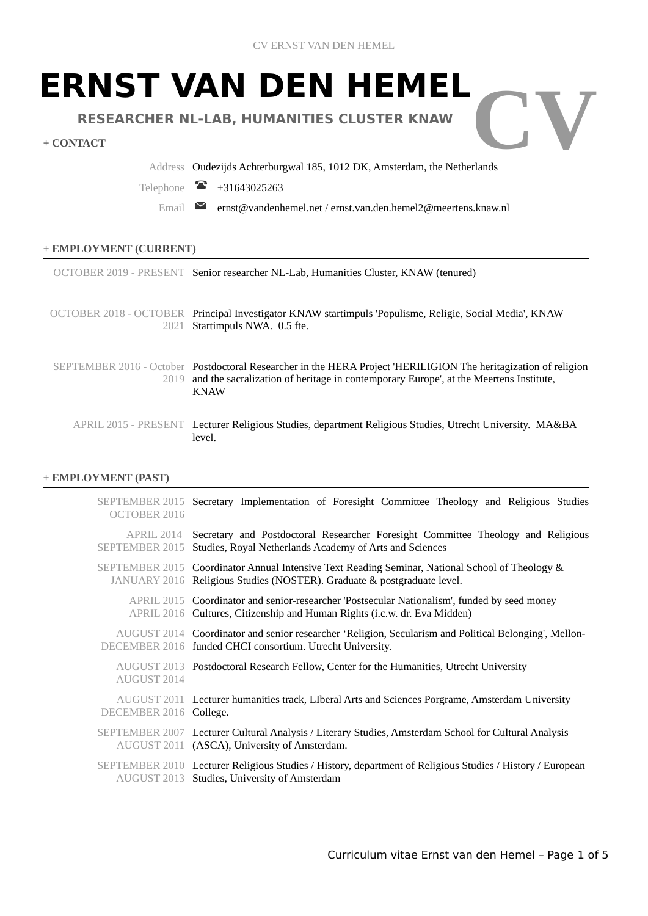# **ERNST VAN DEN HEMEL**

## **RESEARCHER NL-LAB, HUMANITIES CLUSTER KNAW**

#### **+ CONTACT**

Address Oudezijds Achterburgwal 185, 1012 DK, Amsterdam, the Netherlands **CV** 

- Telephone  $\bullet$  +31643025263
	- Email  $\Box$  ernst@vandenhemel.net / ernst.van.den.hemel2@meertens.knaw.nl

### **+ EMPLOYMENT (CURRENT)**

| OCTOBER 2019 - PRESENT Senior researcher NL-Lab, Humanities Cluster, KNAW (tenured)                                                                                                                                          |
|------------------------------------------------------------------------------------------------------------------------------------------------------------------------------------------------------------------------------|
| OCTOBER 2018 - OCTOBER Principal Investigator KNAW startimpuls 'Populisme, Religie, Social Media', KNAW<br>2021 Startimpuls NWA. 0.5 fte.                                                                                    |
| SEPTEMBER 2016 - October Postdoctoral Researcher in the HERA Project 'HERILIGION The heritagization of religion<br>2019 and the sacralization of heritage in contemporary Europe', at the Meertens Institute,<br><b>KNAW</b> |
| APRIL 2015 - PRESENT Lecturer Religious Studies, department Religious Studies, Utrecht University. MA&BA<br>level.                                                                                                           |

#### **+ EMPLOYMENT (PAST)**

| SEPTEMBER 2015<br><b>OCTOBER 2016</b> | Secretary Implementation of Foresight Committee Theology and Religious Studies                                                                                            |
|---------------------------------------|---------------------------------------------------------------------------------------------------------------------------------------------------------------------------|
| APRIL 2014<br><b>SEPTEMBER 2015</b>   | Secretary and Postdoctoral Researcher Foresight Committee Theology and Religious<br>Studies, Royal Netherlands Academy of Arts and Sciences                               |
| JANUARY 2016                          | SEPTEMBER 2015 Coordinator Annual Intensive Text Reading Seminar, National School of Theology &<br>Religious Studies (NOSTER). Graduate & postgraduate level.             |
|                                       | APRIL 2015 Coordinator and senior-researcher 'Postsecular Nationalism', funded by seed money<br>APRIL 2016 Cultures, Citizenship and Human Rights (i.c.w. dr. Eva Midden) |
|                                       | AUGUST 2014 Coordinator and senior researcher 'Religion, Secularism and Political Belonging', Mellon-<br>DECEMBER 2016 funded CHCI consortium. Utrecht University.        |
| <b>AUGUST 2014</b>                    | AUGUST 2013 Postdoctoral Research Fellow, Center for the Humanities, Utrecht University                                                                                   |
| DECEMBER 2016 College.                | AUGUST 2011 Lecturer humanities track, LIberal Arts and Sciences Porgrame, Amsterdam University                                                                           |
|                                       | SEPTEMBER 2007 Lecturer Cultural Analysis / Literary Studies, Amsterdam School for Cultural Analysis<br>AUGUST 2011 (ASCA), University of Amsterdam.                      |
|                                       | SEPTEMBER 2010 Lecturer Religious Studies / History, department of Religious Studies / History / European<br>AUGUST 2013 Studies, University of Amsterdam                 |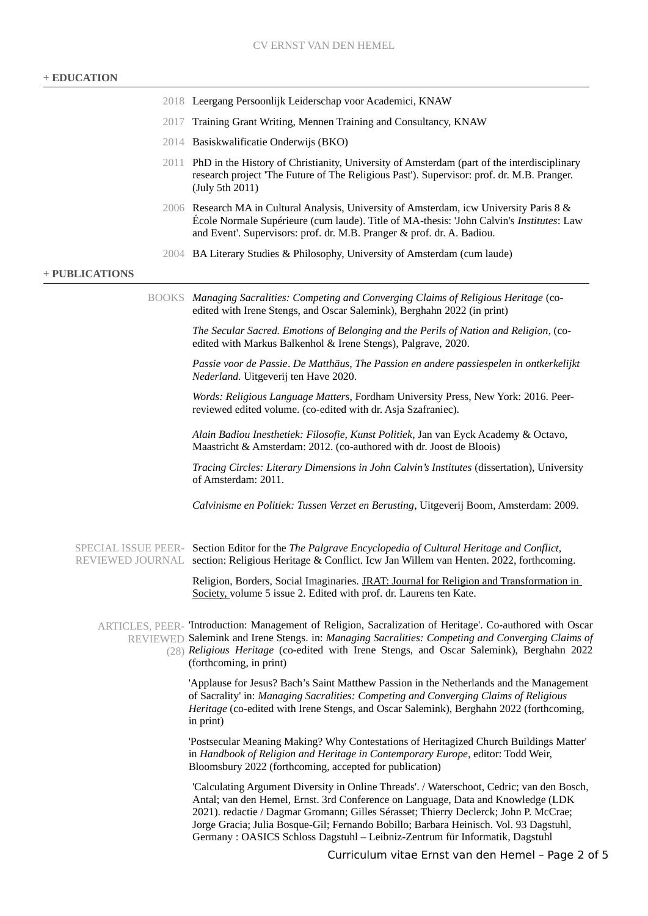#### **+ EDUCATION**

- 2018 Leergang Persoonlijk Leiderschap voor Academici, KNAW
- 2017 Training Grant Writing, Mennen Training and Consultancy, KNAW
- 2014 Basiskwalificatie Onderwijs (BKO)
- 2011 PhD in the History of Christianity, University of Amsterdam (part of the interdisciplinary research project 'The Future of The Religious Past'). Supervisor: prof. dr. M.B. Pranger. (July 5th 2011)
- 2006 Research MA in Cultural Analysis, University of Amsterdam, icw University Paris 8 & École Normale Supérieure (cum laude). Title of MA-thesis: 'John Calvin's *Institutes*: Law and Event'. Supervisors: prof. dr. M.B. Pranger & prof. dr. A. Badiou.
- 2004 BA Literary Studies & Philosophy, University of Amsterdam (cum laude)

#### **+ PUBLICATIONS**

BOOKS *Managing Sacralities: Competing and Converging Claims of Religious Heritage* (coedited with Irene Stengs, and Oscar Salemink), Berghahn 2022 (in print)

> *The Secular Sacred. Emotions of Belonging and the Perils of Nation and Religion*, (coedited with Markus Balkenhol & Irene Stengs), Palgrave, 2020.

*Passie voor de Passie*. *De Matthäus, The Passion en andere passiespelen in ontkerkelijkt Nederland.* Uitgeverij ten Have 2020.

*Words: Religious Language Matters*, Fordham University Press, New York: 2016. Peerreviewed edited volume. (co-edited with dr. Asja Szafraniec).

*Alain Badiou Inesthetiek: Filosofie, Kunst Politiek*, Jan van Eyck Academy & Octavo, Maastricht & Amsterdam: 2012. (co-authored with dr. Joost de Bloois)

*Tracing Circles: Literary Dimensions in John Calvin's Institutes* (dissertation), University of Amsterdam: 2011.

*Calvinisme en Politiek: Tussen Verzet en Berusting*, Uitgeverij Boom, Amsterdam: 2009.

SPECIAL ISSUE PEER-Section Editor for the *The Palgrave Encyclopedia of Cultural Heritage and Conflict,*  REVIEWED JOURNAL section: Religious Heritage & Conflict. Icw Jan Willem van Henten. 2022, forthcoming.

> Religion, Borders, Social Imaginaries. JRAT: Journal for Religion and Transformation in Society, volume 5 issue 2. Edited with prof. dr. Laurens ten Kate.

ARTICLES, PEER-'Introduction: Management of Religion, Sacralization of Heritage'. Co-authored with Oscar REVIEWED Salemink and Irene Stengs. in: *Managing Sacralities: Competing and Converging Claims of* (28) *Religious Heritage* (co-edited with Irene Stengs, and Oscar Salemink), Berghahn 2022

(forthcoming, in print)

'Applause for Jesus? Bach's Saint Matthew Passion in the Netherlands and the Management of Sacrality' in: *Managing Sacralities: Competing and Converging Claims of Religious Heritage* (co-edited with Irene Stengs, and Oscar Salemink), Berghahn 2022 (forthcoming, in print)

'Postsecular Meaning Making? Why Contestations of Heritagized Church Buildings Matter' in *Handbook of Religion and Heritage in Contemporary Europe*, editor: Todd Weir, Bloomsbury 2022 (forthcoming, accepted for publication)

'Calculating Argument Diversity in Online Threads'. / Waterschoot, Cedric; van den Bosch, Antal; van den Hemel, Ernst. 3rd Conference on Language, Data and Knowledge (LDK 2021). redactie / Dagmar Gromann; Gilles Sérasset; Thierry Declerck; John P. McCrae; Jorge Gracia; Julia Bosque-Gil; Fernando Bobillo; Barbara Heinisch. Vol. 93 Dagstuhl, Germany : OASICS Schloss Dagstuhl – Leibniz-Zentrum für Informatik, Dagstuhl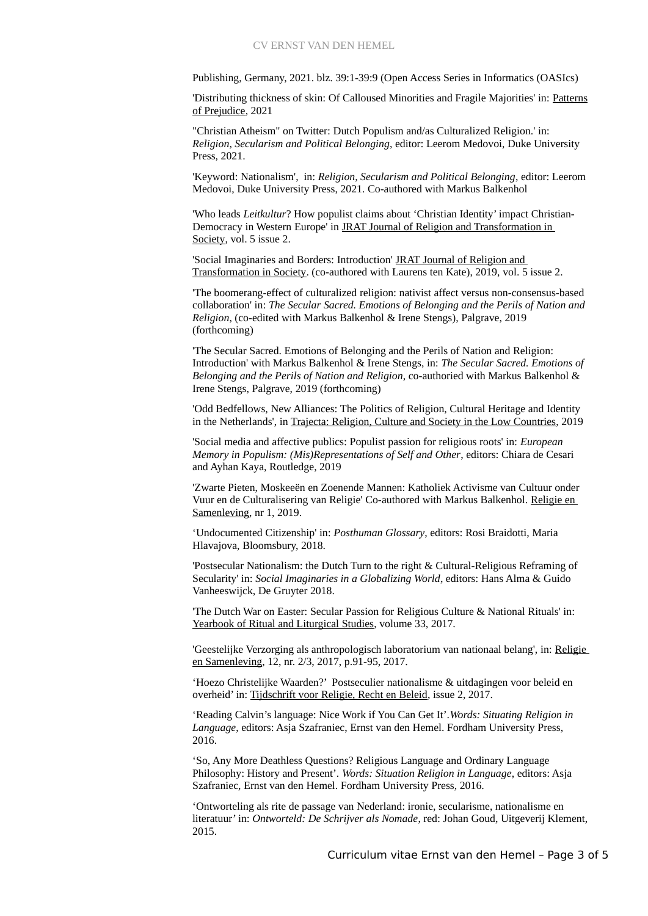Publishing, Germany, 2021. blz. 39:1-39:9 (Open Access Series in Informatics (OASIcs)

'Distributing thickness of skin: Of Calloused Minorities and Fragile Majorities' in: Patterns of Prejudice, 2021

"Christian Atheism" on Twitter: Dutch Populism and/as Culturalized Religion.' in: *Religion, Secularism and Political Belonging*, editor: Leerom Medovoi, Duke University Press, 2021.

'Keyword: Nationalism', in: *Religion, Secularism and Political Belonging*, editor: Leerom Medovoi, Duke University Press, 2021. Co-authored with Markus Balkenhol

'Who leads *Leitkultur*? How populist claims about 'Christian Identity' impact Christian-Democracy in Western Europe' in JRAT Journal of Religion and Transformation in Society, vol. 5 issue 2.

'Social Imaginaries and Borders: Introduction' JRAT Journal of Religion and Transformation in Society. (co-authored with Laurens ten Kate), 2019, vol. 5 issue 2.

'The boomerang-effect of culturalized religion: nativist affect versus non-consensus-based collaboration' in: *The Secular Sacred. Emotions of Belonging and the Perils of Nation and Religion*, (co-edited with Markus Balkenhol & Irene Stengs), Palgrave, 2019 (forthcoming)

'The Secular Sacred. Emotions of Belonging and the Perils of Nation and Religion: Introduction' with Markus Balkenhol & Irene Stengs, in: *The Secular Sacred. Emotions of Belonging and the Perils of Nation and Religion*, co-authoried with Markus Balkenhol & Irene Stengs, Palgrave, 2019 (forthcoming)

'Odd Bedfellows, New Alliances: The Politics of Religion, Cultural Heritage and Identity in the Netherlands', in Trajecta: Religion, Culture and Society in the Low Countries, 2019

'Social media and affective publics: Populist passion for religious roots' in: *European Memory in Populism: (Mis)Representations of Self and Other*, editors: Chiara de Cesari and Ayhan Kaya, Routledge, 2019

'Zwarte Pieten, Moskeeën en Zoenende Mannen: Katholiek Activisme van Cultuur onder Vuur en de Culturalisering van Religie' Co-authored with Markus Balkenhol. Religie en Samenleving, nr 1, 2019.

'Undocumented Citizenship' in: *Posthuman Glossary*, editors: Rosi Braidotti, Maria Hlavajova, Bloomsbury, 2018.

'Postsecular Nationalism: the Dutch Turn to the right & Cultural-Religious Reframing of Secularity' in: *Social Imaginaries in a Globalizing World*, editors: Hans Alma & Guido Vanheeswijck, De Gruyter 2018.

'The Dutch War on Easter: Secular Passion for Religious Culture & National Rituals' in: Yearbook of Ritual and Liturgical Studies, volume 33, 2017.

'Geestelijke Verzorging als anthropologisch laboratorium van nationaal belang', in: Religie en Samenleving, 12, nr. 2/3, 2017, p.91-95, 2017.

'Hoezo Christelijke Waarden?' Postseculier nationalisme & uitdagingen voor beleid en overheid' in: Tijdschrift voor Religie, Recht en Beleid, issue 2, 2017.

'Reading Calvin's language: Nice Work if You Can Get It'.*Words: Situating Religion in Language*, editors: Asja Szafraniec, Ernst van den Hemel. Fordham University Press, 2016.

'So, Any More Deathless Questions? Religious Language and Ordinary Language Philosophy: History and Present'. *Words: Situation Religion in Language*, editors: Asja Szafraniec, Ernst van den Hemel. Fordham University Press, 2016.

'Ontworteling als rite de passage van Nederland: ironie, secularisme, nationalisme en literatuur' in: *Ontworteld: De Schrijver als Nomade*, red: Johan Goud, Uitgeverij Klement, 2015.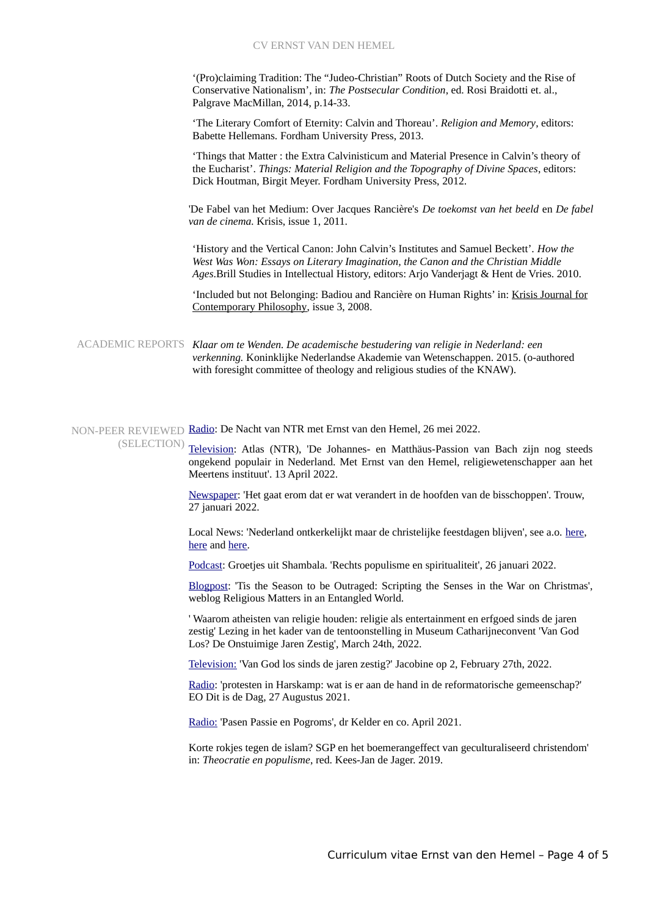'(Pro)claiming Tradition: The "Judeo-Christian" Roots of Dutch Society and the Rise of Conservative Nationalism', in: *The Postsecular Condition*, ed. Rosi Braidotti et. al., Palgrave MacMillan, 2014, p.14-33.

'The Literary Comfort of Eternity: Calvin and Thoreau'. *Religion and Memory*, editors: Babette Hellemans. Fordham University Press, 2013.

'Things that Matter : the Extra Calvinisticum and Material Presence in Calvin's theory of the Eucharist'. *Things: Material Religion and the Topography of Divine Spaces*, editors: Dick Houtman, Birgit Meyer. Fordham University Press, 2012.

'De Fabel van het Medium: Over Jacques Rancière's *De toekomst van het beeld* en *De fabel van de cinema.* Krisis, issue 1, 2011.

'History and the Vertical Canon: John Calvin's Institutes and Samuel Beckett'. *How the West Was Won: Essays on Literary Imagination, the Canon and the Christian Middle Ages*.Brill Studies in Intellectual History, editors: Arjo Vanderjagt & Hent de Vries. 2010.

'Included but not Belonging: Badiou and Rancière on Human Rights' in: Krisis Journal for Contemporary Philosophy, issue 3, 2008.

ACADEMIC REPORTS *Klaar om te Wenden. De academische bestudering van religie in Nederland: een verkenning.* Koninklijke Nederlandse Akademie van Wetenschappen. 2015. (o-authored with foresight committee of theology and religious studies of the KNAW).

NON-PEER REVIEWED **[Radio](https://www.nporadio1.nl/uitzendingen/de-nacht-van/4ac2e832-c8be-4739-bc31-e53c7ee74ca6/2022-05-26-de-nacht-van-ntr-met-ernst-van-den-hemel): De Nacht van NTR met Ernst van den Hemel, 26 mei 2022.** (SELECTION)

[Television:](https://www.ntr.nl/Atlas/439/detail/Atlas/VPWON_1335383) Atlas (NTR), 'De Johannes- en Matthäus-Passion van Bach zijn nog steeds ongekend populair in Nederland. Met Ernst van den Hemel, religiewetenschapper aan het Meertens instituut'. 13 April 2022.

[Newspaper](https://www.trouw.nl/religie-filosofie/het-gaat-erom-dat-er-wat-verandert-in-de-hoofden-van-de-bisschoppen~b41617b8/): 'Het gaat erom dat er wat verandert in de hoofden van de bisschoppen'. Trouw, 27 januari 2022.

Local News: 'Nederland ontkerkelijkt maar de christelijke feestdagen blijven', see a.o. [here,](https://www.soestercourant.nl/lokaal/religie/809451/nederland-ontkerkelijkt-maar-de-christelijke-feestdagen-blijven) [here](https://www.wijksnieuws.nl/lokaal/overig/809993/nederland-ontkerkelijkt-maar-christelijke-feestdagen-blijven) and here.

[Podcast](https://open.spotify.com/episode/0PDrOxUF2KWkKacx9RSA3t?si=b14c11a1a4f64b7f): Groetjes uit Shambala. 'Rechts populisme en spiritualiteit', 26 januari 2022.

[Blogpost](https://religiousmatters.nl/tis-the-season-to-be-outraged-scripting-the-senses-in-the-war-on-christmas/): 'Tis the Season to be Outraged: Scripting the Senses in the War on Christmas', weblog Religious Matters in an Entangled World.

' Waarom atheisten van religie houden: religie als entertainment en erfgoed sinds de jaren zestig' Lezing in het kader van de tentoonstelling in Museum Catharijneconvent 'Van God Los? De Onstuimige Jaren Zestig', March 24th, 2022.

[Television:](https://kro-ncrv.nl/de-onstuimige-jaren-60-raakten-we-van-god-los) 'Van God los sinds de jaren zestig?' Jacobine op 2, February 27th, 2022.

[Radio](https://www.nporadio1.nl/fragmenten/dit-is-de-dag/b14a9d35-8cb3-4729-8032-77b277417ca4/2021-08-27-protesten-in-harskamp-wat-is-er-aan-de-hand-in-de-reformatorische-gemeenschap): 'protesten in Harskamp: wat is er aan de hand in de reformatorische gemeenschap?' EO Dit is de Dag, 27 Augustus 2021.

[Radio:](https://www.nporadio1.nl/fragmenten/dr-kelder-en-co/631f64bb-f929-45d2-8410-b0ebf4d82365/2021-04-02-passies-worden-haatpreken) 'Pasen Passie en Pogroms', dr Kelder en co. April 2021.

Korte rokjes tegen de islam? SGP en het boemerangeffect van geculturaliseerd christendom' in: *Theocratie en populisme*, red. Kees-Jan de Jager. 2019.